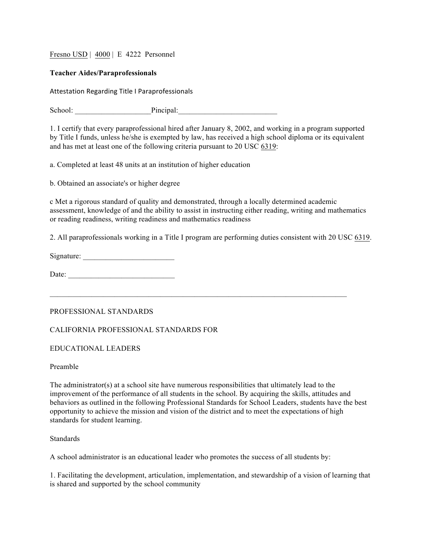Fresno USD | 4000 | E 4222 Personnel

## **Teacher Aides/Paraprofessionals**

Attestation Regarding Title I Paraprofessionals

School: Pincipal:

1. I certify that every paraprofessional hired after January 8, 2002, and working in a program supported by Title I funds, unless he/she is exempted by law, has received a high school diploma or its equivalent and has met at least one of the following criteria pursuant to 20 USC 6319:

a. Completed at least 48 units at an institution of higher education

b. Obtained an associate's or higher degree

c Met a rigorous standard of quality and demonstrated, through a locally determined academic assessment, knowledge of and the ability to assist in instructing either reading, writing and mathematics or reading readiness, writing readiness and mathematics readiness

2. All paraprofessionals working in a Title I program are performing duties consistent with 20 USC 6319.

 $\mathcal{L}_\text{max} = \mathcal{L}_\text{max} = \mathcal{L}_\text{max} = \mathcal{L}_\text{max} = \mathcal{L}_\text{max} = \mathcal{L}_\text{max} = \mathcal{L}_\text{max} = \mathcal{L}_\text{max} = \mathcal{L}_\text{max} = \mathcal{L}_\text{max} = \mathcal{L}_\text{max} = \mathcal{L}_\text{max} = \mathcal{L}_\text{max} = \mathcal{L}_\text{max} = \mathcal{L}_\text{max} = \mathcal{L}_\text{max} = \mathcal{L}_\text{max} = \mathcal{L}_\text{max} = \mathcal{$ 

Signature:

Date:

## PROFESSIONAL STANDARDS

# CALIFORNIA PROFESSIONAL STANDARDS FOR

## EDUCATIONAL LEADERS

## Preamble

The administrator(s) at a school site have numerous responsibilities that ultimately lead to the improvement of the performance of all students in the school. By acquiring the skills, attitudes and behaviors as outlined in the following Professional Standards for School Leaders, students have the best opportunity to achieve the mission and vision of the district and to meet the expectations of high standards for student learning.

Standards

A school administrator is an educational leader who promotes the success of all students by:

1. Facilitating the development, articulation, implementation, and stewardship of a vision of learning that is shared and supported by the school community